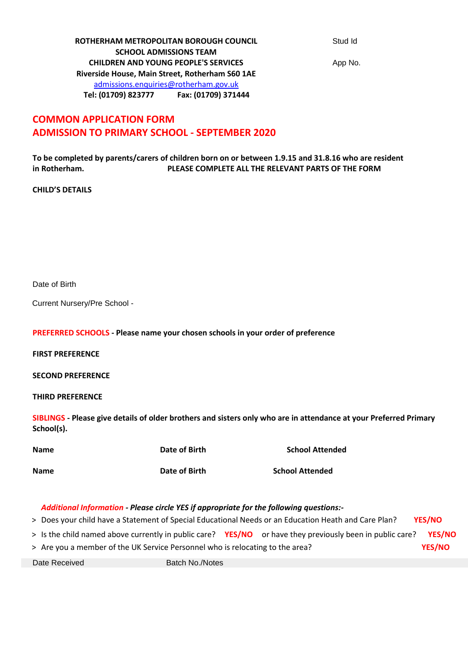**ROTHERHAM METROPOLITAN BOROUGH COUNCIL** Stud Id **SCHOOL ADMISSIONS TEAM CHILDREN AND YOUNG PEOPLE'S SERVICES** App No. **Riverside House, Main Street, Rotherham S60 1AE** admissions.enquiries@rotherham.gov.uk **Tel: (01709) 823777 Fax: (01709) 371444**

# **COMMON APPLICATION FORM ADMISSION TO PRIMARY SCHOOL - SEPTEMBER 2020**

**To be completed by parents/carers of children born on or between 1.9.15 and 31.8.16 who are resident in Rotherham. PLEASE COMPLETE ALL THE RELEVANT PARTS OF THE FORM**

## **CHILD'S DETAILS**

Date of Birth

Current Nursery/Pre School -

**PREFERRED SCHOOLS - Please name your chosen schools in your order of preference**

**FIRST PREFERENCE** 

**SECOND PREFERENCE** 

**THIRD PREFERENCE** 

**SIBLINGS - Please give details of older brothers and sisters only who are in attendance at your Preferred Primary School(s).** 

| <b>Name</b> | Date of Birth | <b>School Attended</b> |
|-------------|---------------|------------------------|
| <b>Name</b> | Date of Birth | <b>School Attended</b> |

# *Additional Information - Please circle YES if appropriate for the following questions:-*

> Does your child have a Statement of Special Educational Needs or an Education Heath and Care Plan? **YES/NO**

- > Is the child named above currently in public care? **YES/NO** or have they previously been in public care? **YES/NO**
- > Are you a member of the UK Service Personnel who is relocating to the area? **YES/NO**

Date Received Batch No./Notes